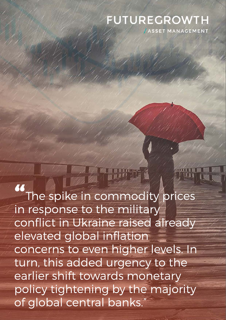# **FUTUREGROWTH** ASSET MANAGEMENT

**"**The spike in commodity prices in response to the military conflict in Ukraine raised already elevated global inflation concerns to even higher levels. In turn, this added urgency to the earlier shift towards monetary policy tightening by the majority of global central banks."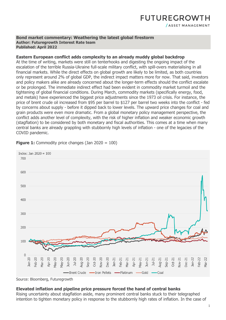### **FUTUREGROWTH** / ASSET MANAGEMENT

#### **Bond market commentary: Weathering the latest global firestorm Author: Futuregrowth Interest Rate team Published: April 2022**

#### **Eastern European conflict adds complexity to an already muddy global backdrop**

At the time of writing, markets were still on tenterhooks and digesting the ongoing impact of the escalation of the terrible Russia-Ukraine full-scale military conflict, with spill-overs materialising in all financial markets. While the direct effects on global growth are likely to be limited, as both countries only represent around 2% of global GDP, the indirect impact matters more for now. That said, investors and policy makers alike are already concerned about the longer-term effects should the conflict escalate or be prolonged. The immediate indirect effect had been evident in commodity market turmoil and the tightening of global financial conditions. During March, commodity markets (specifically energy, food, and metals) have experienced the biggest price adjustments since the 1973 oil crisis. For instance, the price of brent crude oil increased from \$95 per barrel to \$127 per barrel two weeks into the conflict - fed by concerns about supply - before it dipped back to lower levels. The upward price changes for coal and grain products were even more dramatic. From a global monetary policy management perspective, the conflict adds another level of complexity, with the risk of higher inflation and weaker economic growth (stagflation) to be considered by both monetary and fiscal authorities. This comes at a time when many central banks are already grappling with stubbornly high levels of inflation - one of the legacies of the COVID pandemic.



**Figure 1:** Commodity price changes (Jan 2020 = 100)

#### **Elevated inflation and pipeline price pressure forced the hand of central banks**

Rising uncertainty about stagflation aside, many prominent central banks stuck to their telegraphed intention to tighten monetary policy in response to the stubbornly high rates of inflation. In the case of

Source: Bloomberg, Futuregrowth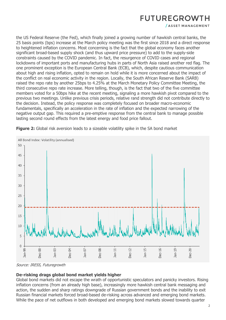/ ASSET MANAGEMENT

the US Federal Reserve (the Fed), which finally joined a growing number of hawkish central banks, the 25 basis points (bps) increase at the March policy meeting was the first since 2018 and a direct response to heightened inflation concerns. Most concerning is the fact that the global economy faces another significant broad-based supply shock (and thus upward price pressure) to add to the supply-side constraints caused by the COVID pandemic. In fact, the resurgence of COVID cases and regional lockdowns of important ports and manufacturing hubs in parts of North Asia raised another red flag. The one prominent exception is the European Central Bank (ECB), which, despite cautious communication about high and rising inflation, opted to remain on hold while it is more concerned about the impact of the conflict on real economic activity in the region. Locally, the South African Reserve Bank (SARB) raised the repo rate by another 25bps to 4.25% at the March Monetary Policy Committee Meeting, the third consecutive repo rate increase. More telling, though, is the fact that two of the five committee members voted for a 50bps hike at the recent meeting, signaling a more hawkish pivot compared to the previous two meetings. Unlike previous crisis periods, relative rand strength did not contribute directly to the decision. Instead, the policy response was completely focused on broader macro-economic fundamentals, specifically an acceleration in the rate of inflation and the expected narrowing of the negative output gap. This required a pre-emptive response from the central bank to manage possible lasting second round effects from the latest energy and food price fallout.



**Figure 2:** Global risk aversion leads to a sizeable volatility spike in the SA bond market

Source: IRESS, Futuregrowth

### **De-risking drags global bond market yields higher**

Global bond markets did not escape the wrath of opportunistic speculators and panicky investors. Rising inflation concerns (from an already high base), increasingly more hawkish central bank messaging and action, the sudden and sharp ratings downgrade of Russian government bonds and the inability to exit Russian financial markets forced broad-based de-risking across advanced and emerging bond markets. While the pace of net outflows in both developed and emerging bond markets slowed towards quarter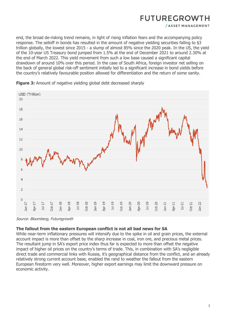end, the broad de-risking trend remains, in light of rising inflation fears and the accompanying policy response. The selloff in bonds has resulted in the amount of negative yielding securities falling to \$3 trillion globally, the lowest since 2015 - a slump of almost 85% since the 2020 peak. In the US, the yield of the 10-year US Treasury bond jumped from 1.5% at the end of December 2021 to around 2.30% at the end of March 2022. This yield movement from such a low base caused a significant capital drawdown of around 10% over this period. In the case of South Africa, foreign investor net selling on the back of general global risk-off sentiment initially led to a significant increase in bond yields before the country's relatively favourable position allowed for differentiation and the return of some sanity.



**Figure 3:** Amount of negative yielding global debt decreased sharply

Source: Bloomberg, Futuregrowth

#### **The fallout from the eastern European conflict is not all bad news for SA**

While near-term inflationary pressures will intensify due to the spike in oil and grain prices, the external account impact is more than offset by the sharp increase in coal, iron ore, and precious metal prices. The resultant jump in SA's export price index thus far is expected to more than offset the negative impact of higher oil prices on the country's terms of trade. This, in combination with SA's negligible direct trade and commercial links with Russia, it's geographical distance from the conflict, and an already relatively strong current account base, enabled the rand to weather the fallout from the eastern European firestorm very well. Moreover, higher export earnings may limit the downward pressure on economic activity.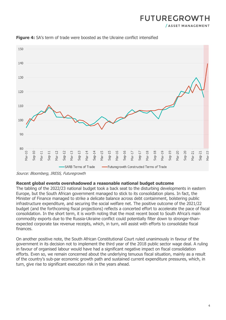/ ASSET MANAGEMENT



**Figure 4:** SA's term of trade were boosted as the Ukraine conflict intensified

#### **Recent global events overshadowed a reasonable national budget outcome**

The tabling of the 2022/23 national budget took a back seat to the disturbing developments in eastern Europe, but the South African government managed to stick to its consolidation plans. In fact, the Minister of Finance managed to strike a delicate balance across debt containment, bolstering public infrastructure expenditure, and securing the social welfare net. The positive outcome of the 2021/22 budget (and the forthcoming fiscal projections) reflects a concerted effort to accelerate the pace of fiscal consolidation. In the short term, it is worth noting that the most recent boost to South Africa's main commodity exports due to the Russia-Ukraine conflict could potentially filter down to stronger-thanexpected corporate tax revenue receipts, which, in turn, will assist with efforts to consolidate fiscal finances.

On another positive note, the South African Constitutional Court ruled unanimously in favour of the government in its decision not to implement the third year of the 2018 public sector wage deal. A ruling in favour of organised labour would have had a significant negative impact on fiscal consolidation efforts. Even so, we remain concerned about the underlying tenuous fiscal situation, mainly as a result of the country's sub-par economic growth path and sustained current expenditure pressures, which, in turn, give rise to significant execution risk in the years ahead.

Source: Bloomberg, IRESS, Futuregrowth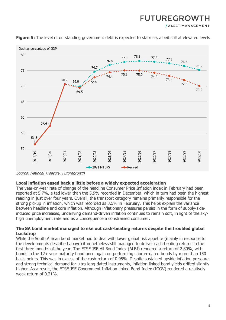/ ASSET MANAGEMENT



**Figure 5:** The level of outstanding government debt is expected to stabilise, albeit still at elevated levels

Source: National Treasury, Futuregrowth

#### **Local inflation eased back a little before a widely expected acceleration**

The year-on-year rate of change of the headline Consumer Price Inflation index in February had been reported at 5.7%, a tad lower than the 5.9% recorded in December, which in turn had been the highest reading in just over four years. Overall, the transport category remains primarily responsible for the strong pickup in inflation, which was recorded as 3.5% in February. This helps explain the variance between headline and core inflation. Although inflationary pressures persist in the form of supply-sideinduced price increases, underlying demand-driven inflation continues to remain soft, in light of the skyhigh unemployment rate and as a consequence a constrained consumer.

#### **The SA bond market managed to eke out cash-beating returns despite the troubled global backdrop**

While the South African bond market had to deal with lower global risk appetite (mainly in response to the developments described above) it nonetheless still managed to deliver cash-beating returns in the first three months of the year. The FTSE JSE All Bond Index (ALBI) rendered a return of 2.80%, with bonds in the 12+ year maturity band once again outperforming shorter-dated bonds by more than 150 basis points. This was in excess of the cash return of 0.95%. Despite sustained upside inflation pressure and strong technical demand for ultra-long-dated instruments, inflation-linked bond yields drifted slightly higher. As a result, the FTSE JSE Government Inflation-linked Bond Index (IGOV) rendered a relatively weak return of 0.21%.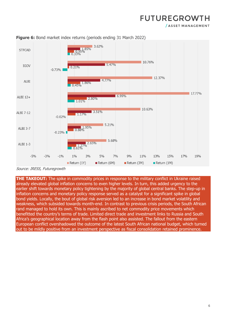/ ASSET MANAGEMENT





**THE TAKEOUT:** The spike in commodity prices in response to the military conflict in Ukraine raised already elevated global inflation concerns to even higher levels. In turn, this added urgency to the earlier shift towards monetary policy tightening by the majority of global central banks. The step-up in inflation concerns and monetary policy response served as a catalyst for a significant spike in global bond yields. Locally, the bout of global risk aversion led to an increase in bond market volatility and weakness, which subsided towards month-end. In contrast to previous crisis periods, the South African rand managed to hold its own. This is mainly ascribed to net commodity price movements which benefitted the country's terms of trade. Limited direct trade and investment links to Russia and South Africa's geographical location away from the flash point also assisted. The fallout from the eastern European conflict overshadowed the outcome of the latest South African national budget, which turned out to be mildly positive from an investment perspective as fiscal consolidation retained prominence.

Source: IRESS, Futuregrowth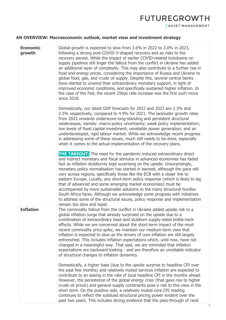### **AN OVERVIEW: Macroeconomic outlook, market view and investment strategy**

| <b>Economic</b><br>growth | Global growth is expected to slow from 3.6% in 2022 to 3.0% in 2023,<br>following a strong post-COVID V-shaped recovery and as risks to the<br>recovery persist. While the impact of earlier COVID-related lockdowns on<br>supply pipelines still linger the fallout from the conflict in Ukraine has added<br>an additional layer of complexity. This may also contribute to a further rise in<br>food and energy prices, considering the importance of Russia and Ukraine to<br>global food, gas, and crude oil supply. Despite this, several central banks<br>have started to unwind their extraordinary monetary support, in light of<br>improved economic conditions, and specifically sustained higher inflation. In<br>the case of the Fed, the recent 25bps rate increase was the first such move<br>since 2018.        |  |  |  |  |
|---------------------------|---------------------------------------------------------------------------------------------------------------------------------------------------------------------------------------------------------------------------------------------------------------------------------------------------------------------------------------------------------------------------------------------------------------------------------------------------------------------------------------------------------------------------------------------------------------------------------------------------------------------------------------------------------------------------------------------------------------------------------------------------------------------------------------------------------------------------------|--|--|--|--|
|                           | Domestically, our latest GDP forecasts for 2022 and 2023 are 2.3% and<br>2.5% respectively, compared to 4.9% for 2021. The lackluster growth rates<br>from 2022 onwards underscore long-standing and persistent structural<br>weaknesses, namely: macro-policy uncertainty; weak policy implementation;<br>low levels of fixed capital investment; unreliable power generation; and an<br>underdeveloped, rigid labour market. While we acknowledge recent progress<br>in addressing some of these issues, much still needs to be done, especially<br>when it comes to the actual implementation of the recovery plans.                                                                                                                                                                                                         |  |  |  |  |
|                           | <b>THE TAKEOUT:</b> The need for the pandemic-induced extraordinary direct<br>and indirect monetary and fiscal stimulus in advanced economies has faded<br>fast as inflation stubbornly kept surprising on the upside. Unsurprisingly,<br>monetary policy normalisation has started in earnest, although the pace will<br>vary across regions, specifically those like the ECB with a closer link to<br>eastern Europe. Locally, any short-term policy response (which is likely to lag<br>that of advanced and some emerging market economies) must be<br>accompanied by more sustainable solutions to the many structural hurdles<br>South Africa faces. Although we acknowledge some progress with initiatives<br>to address some of the structural issues, policy response and implementation<br>remain too slow and tepid. |  |  |  |  |
| <b>Inflation</b>          | The commodity fallout from the conflict in Ukraine added upside risk to a<br>global inflation surge that already surprised on the upside due to a<br>combination of extraordinary base and stubborn supply-sided bottle-neck<br>effects. While we are concerned about the short-term impact of the most<br>recent commodity price spike, we maintain our medium-term view that<br>inflation is expected to slow as the drivers of core inflation are still largely<br>entrenched. This includes inflation expectations which, until now, have not<br>changed in a meaningful way. That said, we are reminded that inflation<br>expectations are backward looking - and are therefore an unreliable indicator<br>of structural changes to inflation dynamics.                                                                    |  |  |  |  |
|                           | Domestically, a higher base (due to the upside surprise to headline CPI over<br>the past few months) and relatively muted services inflation are expected to<br>contribute to an easing in the rate of local headline CPI in the months ahead.<br>However, the persistence of the global energy crisis (that gave rise to higher<br>crude oil prices) and general supply constraints pose a risk to this view in the<br>short term. On the positive side, a relatively muted core CPI reading<br>continues to reflect the subdued structural pricing power evident over the<br>past two years. This includes strong evidence that the pass-through of rand                                                                                                                                                                      |  |  |  |  |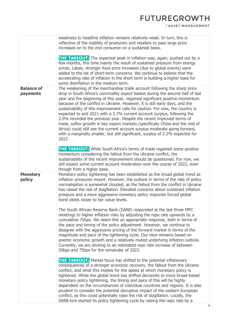/ ASSET MANAGEMENT

|                               | weakness to headline inflation remains relatively weak. In turn, this is<br>reflective of the inability of producers and retailers to pass large price<br>increases on to the end consumer on a sustained basis.                                                                                                                                                                                                                                                                                                                                                                                                                                                                                                                                                                                                          |  |  |  |  |
|-------------------------------|---------------------------------------------------------------------------------------------------------------------------------------------------------------------------------------------------------------------------------------------------------------------------------------------------------------------------------------------------------------------------------------------------------------------------------------------------------------------------------------------------------------------------------------------------------------------------------------------------------------------------------------------------------------------------------------------------------------------------------------------------------------------------------------------------------------------------|--|--|--|--|
|                               | <b>THE TAKEOUT:</b> The expected peak in inflation was, again, pushed out by a<br>few months, this time mainly the result of sustained pressure from energy<br>prices. Lately, stronger food price increases (due to global events) were<br>added to the list of short-term concerns. We continue to believe that the<br>accelerating rate of inflation in the short term is building a higher base for<br>some disinflation in the medium term.                                                                                                                                                                                                                                                                                                                                                                          |  |  |  |  |
| <b>Balance of</b><br>payments | The weakening of the merchandise trade account following the sharp price<br>drop in South Africa's commodity export basket during the second half of last<br>year and the beginning of this year, regained significant positive momentum<br>because of the conflict in Ukraine. However, it is still early days, and the<br>sustainability of this improvement calls for caution. For now, the country is<br>expected to end 2021 with a 3.7% current account surplus, following the<br>2.0% recorded the previous year. Despite the recent improved terms of<br>trade, softer growth in key export markets (specifically China and the rest of<br>Africa) could still see the current account surplus moderate going forward,<br>with a marginally smaller, but still significant, surplus of 2.2% expected for<br>2022. |  |  |  |  |
|                               | <b>THE TAKEOUT:</b> While South Africa's terms of trade regained some positive<br>momentum considering the fallout from the Ukraine conflict, the<br>sustainability of the recent improvement should be questioned. For now, we<br>still expect some current account moderation over the course of 2022, even<br>though from a higher base.                                                                                                                                                                                                                                                                                                                                                                                                                                                                               |  |  |  |  |
| <b>Monetary</b><br>policy     | Monetary policy tightening has been established as the broad global trend as<br>inflation pressures mount. However, the outlook in terms of the rate of policy<br>normalisation is somewhat clouded, as the fallout from the conflict in Ukraine<br>has raised the risk of stagflation. Elevated concerns about sustained inflation<br>pressure and a more aggressive monetary policy response forced global<br>bond yields closer to fair value levels.                                                                                                                                                                                                                                                                                                                                                                  |  |  |  |  |
|                               | The South African Reserve Bank (SARB) responded at the last three MPC<br>meetings to higher inflation risks by adjusting the repo rate upwards by a<br>cumulative 75bps. We deem this an appropriate response, both in terms of<br>the pace and timing of the policy adjustment. However, we continue to<br>disagree with the aggressive pricing of the forward market in terms of the<br>magnitude and pace of the tightening cycle. Our view remains based on<br>anemic economic growth and a relatively muted underlying inflation outlook.<br>Currently, we are sticking to an estimated repo rate increase of between<br>50bps and 75bps for the remainder of 2022.                                                                                                                                                  |  |  |  |  |
|                               | <b>THE TAKEOUT:</b> Market focus has shifted to the potential inflationary<br>consequences of a stronger economic recovery, the fallout from the Ukraine<br>conflict, and what this implies for the speed at which monetary policy is<br>tightened. While the global trend has shifted decisively to more broad-based<br>monetary policy tightening, the timing and pace of this will be highly<br>dependent on the circumstances of individual countries and regions. It is also<br>prudent to consider the potential disruptive impact of the eastern European<br>conflict, as this could potentially raise the risk of stagflation. Locally, the<br>SARB kick-started its policy tightening cycle by raising the repo rate by a                                                                                        |  |  |  |  |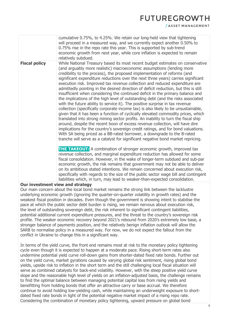/ ASSET MANAGEMENT

|                      | cumulative 0.75%, to 4.25%. We retain our long-held view that tightening<br>will proceed in a measured way, and we currently expect another 0.50% to<br>0.75% rise in the repo rate this year. This is supported by sub-trend<br>economic growth from next year, while core inflation is expected to remain<br>relatively subdued.                                                                                                                                                                                                                                                                                                                                                                                                                                                                                                                                                                                                                                                                                                                                                                                                                                                                                                                                                                                                                                                                                                                                                                                                                                                                                                                                                                                                                                                                                                                                                                                                              |
|----------------------|-------------------------------------------------------------------------------------------------------------------------------------------------------------------------------------------------------------------------------------------------------------------------------------------------------------------------------------------------------------------------------------------------------------------------------------------------------------------------------------------------------------------------------------------------------------------------------------------------------------------------------------------------------------------------------------------------------------------------------------------------------------------------------------------------------------------------------------------------------------------------------------------------------------------------------------------------------------------------------------------------------------------------------------------------------------------------------------------------------------------------------------------------------------------------------------------------------------------------------------------------------------------------------------------------------------------------------------------------------------------------------------------------------------------------------------------------------------------------------------------------------------------------------------------------------------------------------------------------------------------------------------------------------------------------------------------------------------------------------------------------------------------------------------------------------------------------------------------------------------------------------------------------------------------------------------------------|
| <b>Fiscal policy</b> | While National Treasury based its most recent budget estimates on conservative<br>(and arguably more realistic) macroeconomic assumptions (lending more<br>credibility to the process), the proposed implementation of reforms (and<br>significant expenditure reductions over the next three years) carries significant<br>execution risk. Improved tax revenue collection and reduced expenditure are<br>admittedly pointing in the desired direction of deficit reduction, but this is still<br>insufficient when considering the continued deficit in the primary balance and<br>the implications of the high level of outstanding debt (and the risks associated<br>with the future ability to service it). The positive surprise in tax revenue<br>collection (specifically corporate income tax) is also likely to be unsustainable,<br>given that it has been a function of cyclically elevated commodity prices, which<br>translated into strong mining sector profits. An inability to turn the fiscal ship<br>around, despite the recent boon of excess revenue collection, will have dire<br>implications for the country's sovereign credit ratings, and for bond valuations.<br>With SA being priced as a BB-rated borrower, a downgrade to the B-rated<br>tranche will serve as a catalyst for significant negative bond market repricing.<br><b>THE TAKEOUT:</b> A combination of stronger economic growth, improved tax<br>revenue collection, and marginal expenditure reduction has allowed for some<br>fiscal consolidation. However, in the wake of longer-term subdued and sub-par<br>economic growth, the risk remains that government may not be able to deliver<br>on its ambitious stated intentions. We remain concerned about execution risk,<br>specifically with regards to the size of the public sector wage bill and contingent<br>liabilities which, in turn, may lead to weaker-than-expected consolidation. |
|                      |                                                                                                                                                                                                                                                                                                                                                                                                                                                                                                                                                                                                                                                                                                                                                                                                                                                                                                                                                                                                                                                                                                                                                                                                                                                                                                                                                                                                                                                                                                                                                                                                                                                                                                                                                                                                                                                                                                                                                 |

#### **Our investment view and strategy**

Our main concern about the local bond market remains the strong link between the lacklustre underlying economic growth (ignoring the quarter-on-quarter volatility in growth rates) and the weakest fiscal position in decades. Even though the government is showing intent to stabilise the pace at which the public sector debt burden is rising, we remain nervous about execution risk, the level of outstanding sovereign debt, the risk inherent to significant contingent liabilities, potential additional current expenditure pressures, and the threat to the country's sovereign risk profile. The weaker economic recovery beyond 2021's rebound from 2020's extremely low base, a stronger balance of payments position, and the relatively benign inflation outlook will allow the SARB to normalise policy in a measured way. For now, we do not expect the fallout from the conflict in Ukraine to change this in a significant way.

In terms of the yield curve, the front end remains most at risk to the monetary policy tightening cycle even though it is expected to happen at a moderate pace. Rising short-term rates also undermine potential yield curve roll-down gains from shorter-dated fixed rate bonds. Further out on the yield curve, market gyrations caused by varying global risk sentiment, rising global bond yields, upside risk to inflation in the short term and the still challenging local fiscal situation will serve as combined catalysts for back-end volatility. However, with the steep positive yield curve slope and the reasonable high level of yields on an inflation-adjusted basis, the challenge remains to find the optimal balance between managing potential capital loss from rising yields and benefitting from holding bonds that offer an attractive carry or base accrual. We therefore continue to avoid holding low-yielding cash, while maintaining an underweight exposure to shortdated fixed rate bonds in light of the potential negative market impact of a rising repo rate. Considering the combination of monetary policy tightening, upward pressure on global bond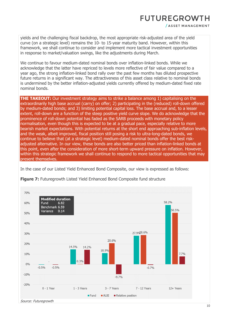/ ASSET MANAGEMENT

yields and the challenging fiscal backdrop, the most appropriate risk-adjusted area of the yield curve (on a strategic level) remains the 10- to 15-year maturity band. However, within this framework, we shall continue to consider and implement more tactical investment opportunities in response to market/valuation swings, like the adjustments during March.

We continue to favour medium-dated nominal bonds over inflation-linked bonds. While we acknowledge that the latter have repriced to levels more reflective of fair value compared to a year ago, the strong inflation-linked bond rally over the past few months has diluted prospective future returns in a significant way. The attractiveness of this asset class relative to nominal bonds is undermined by the better inflation-adjusted yields currently offered by medium-dated fixed rate nominal bonds.

**THE TAKEOUT:** Our investment strategy aims to strike a balance among 1) capitalising on the extraordinarily high base accrual (carry) on offer; 2) participating in the (reduced) roll-down offered by medium-dated bonds; and 3) limiting potential capital loss. The base accrual and, to a lesser extent, roll-down are a function of the steep positive yield curve slope. We do acknowledge that the prominence of roll-down potential has faded as the SARB proceeds with monetary policy normalisation, even though this is expected to be at a gradual pace, especially relative to more bearish market expectations. With potential returns at the short end approaching sub-inflation levels, and the weak, albeit improved, fiscal position still posing a risk to ultra-long-dated bonds, we continue to believe that (at a strategic level) medium-dated nominal bonds offer the best riskadjusted alternative. In our view, these bonds are also better priced than inflation-linked bonds at this point, even after the consideration of more short-term upward pressure on inflation. However, within this strategic framework we shall continue to respond to more tactical opportunities that may present themselves.

In the case of our Listed Yield Enhanced Bond Composite, our view is expressed as follows:



**Figure 7:** Futuregrowth Listed Yield Enhanced Bond Composite fund structure